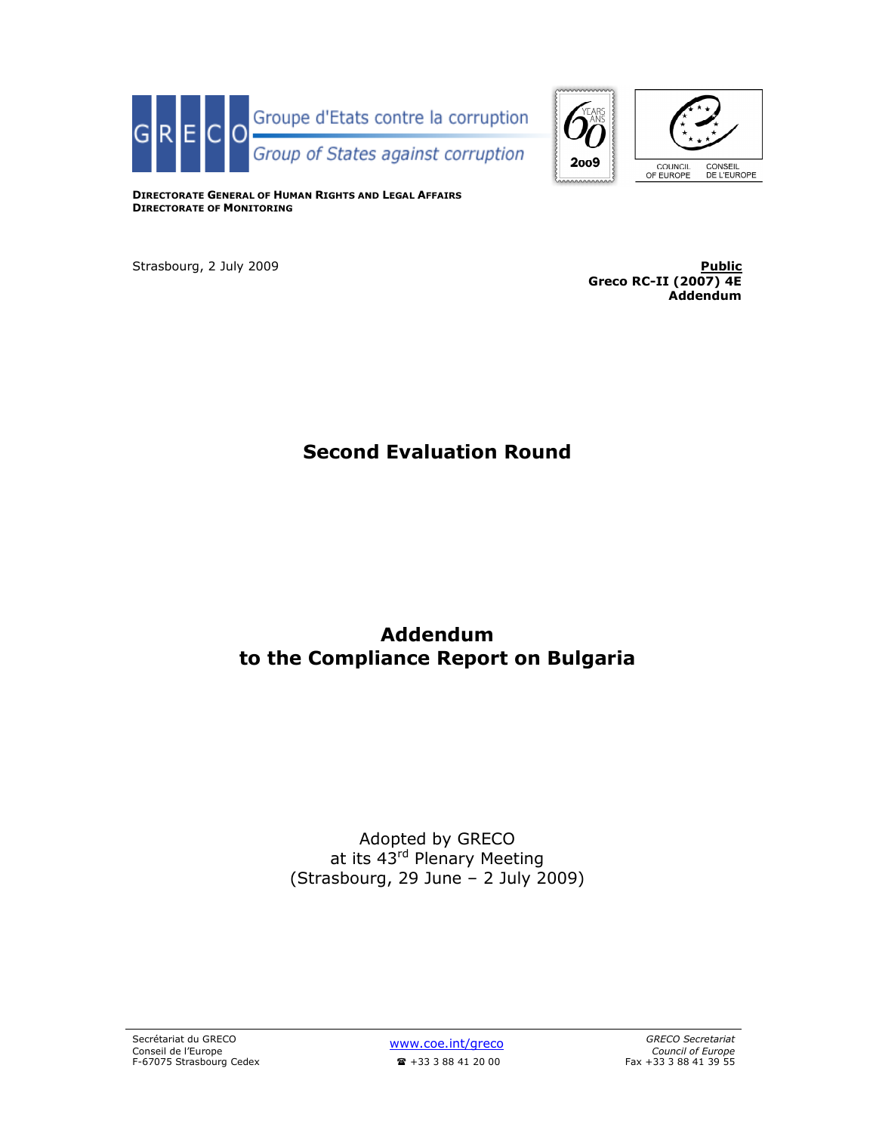



DIRECTORATE GENERAL OF HUMAN RIGHTS AND LEGAL AFFAIRS DIRECTORATE OF MONITORING

Strasbourg, 2 July 2009 <mark>Public</mark> Greco RC-II (2007) 4E Addendum

# Second Evaluation Round

# Addendum to the Compliance Report on Bulgaria

## Adopted by GRECO at its 43<sup>rd</sup> Plenary Meeting (Strasbourg, 29 June – 2 July 2009)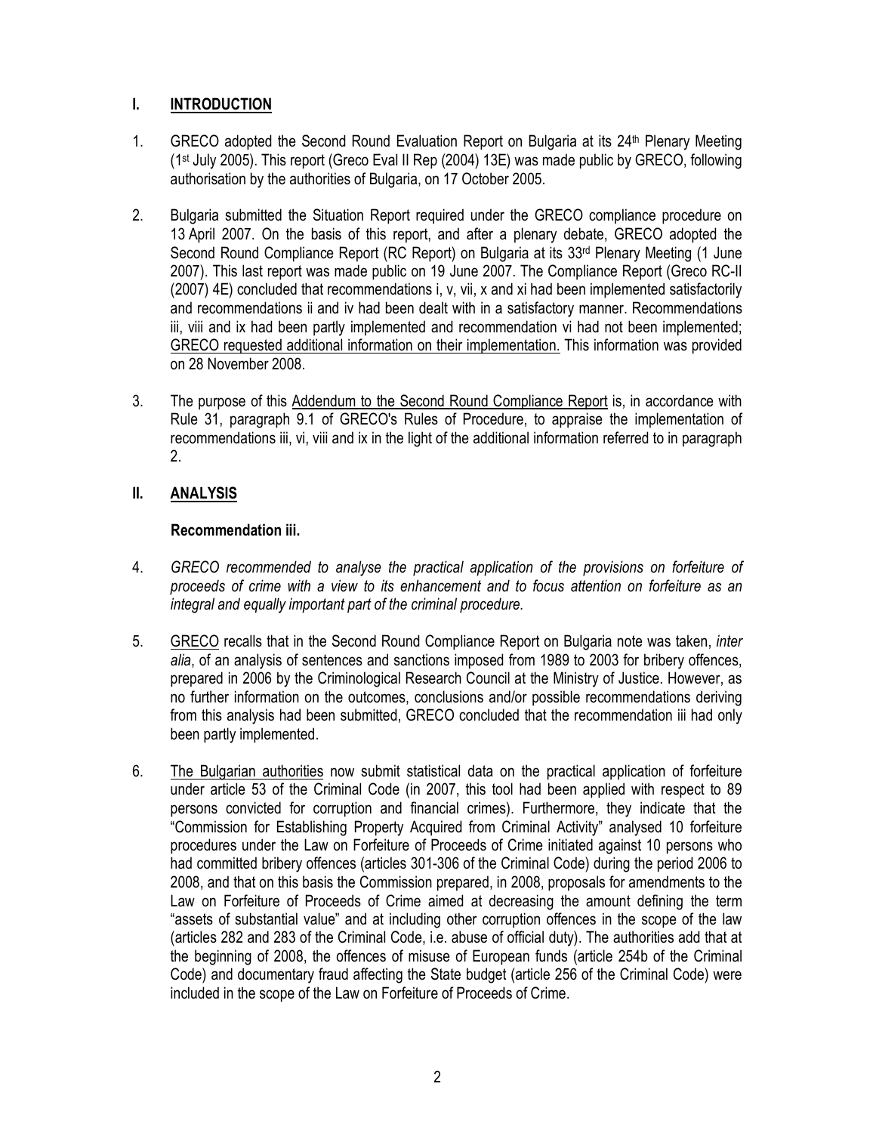## I. INTRODUCTION

- 1. GRECO adopted the Second Round Evaluation Report on Bulgaria at its 24<sup>th</sup> Plenary Meeting (1st July 2005). This report (Greco Eval II Rep (2004) 13E) was made public by GRECO, following authorisation by the authorities of Bulgaria, on 17 October 2005.
- 2. Bulgaria submitted the Situation Report required under the GRECO compliance procedure on 13 April 2007. On the basis of this report, and after a plenary debate, GRECO adopted the Second Round Compliance Report (RC Report) on Bulgaria at its 33<sup>rd</sup> Plenary Meeting (1 June 2007). This last report was made public on 19 June 2007. The Compliance Report (Greco RC-II (2007) 4E) concluded that recommendations i, v, vii, x and xi had been implemented satisfactorily and recommendations ii and iv had been dealt with in a satisfactory manner. Recommendations iii, viii and ix had been partly implemented and recommendation vi had not been implemented; GRECO requested additional information on their implementation. This information was provided on 28 November 2008.
- 3. The purpose of this Addendum to the Second Round Compliance Report is, in accordance with Rule 31, paragraph 9.1 of GRECO's Rules of Procedure, to appraise the implementation of recommendations iii, vi, viii and ix in the light of the additional information referred to in paragraph 2.

## II. ANALYSIS

## Recommendation iii.

- 4. GRECO recommended to analyse the practical application of the provisions on forfeiture of proceeds of crime with a view to its enhancement and to focus attention on forfeiture as an integral and equally important part of the criminal procedure.
- 5. GRECO recalls that in the Second Round Compliance Report on Bulgaria note was taken, inter alia, of an analysis of sentences and sanctions imposed from 1989 to 2003 for bribery offences, prepared in 2006 by the Criminological Research Council at the Ministry of Justice. However, as no further information on the outcomes, conclusions and/or possible recommendations deriving from this analysis had been submitted, GRECO concluded that the recommendation iii had only been partly implemented.
- 6. The Bulgarian authorities now submit statistical data on the practical application of forfeiture under article 53 of the Criminal Code (in 2007, this tool had been applied with respect to 89 persons convicted for corruption and financial crimes). Furthermore, they indicate that the "Commission for Establishing Property Acquired from Criminal Activity" analysed 10 forfeiture procedures under the Law on Forfeiture of Proceeds of Crime initiated against 10 persons who had committed bribery offences (articles 301-306 of the Criminal Code) during the period 2006 to 2008, and that on this basis the Commission prepared, in 2008, proposals for amendments to the Law on Forfeiture of Proceeds of Crime aimed at decreasing the amount defining the term "assets of substantial value" and at including other corruption offences in the scope of the law (articles 282 and 283 of the Criminal Code, i.e. abuse of official duty). The authorities add that at the beginning of 2008, the offences of misuse of European funds (article 254b of the Criminal Code) and documentary fraud affecting the State budget (article 256 of the Criminal Code) were included in the scope of the Law on Forfeiture of Proceeds of Crime.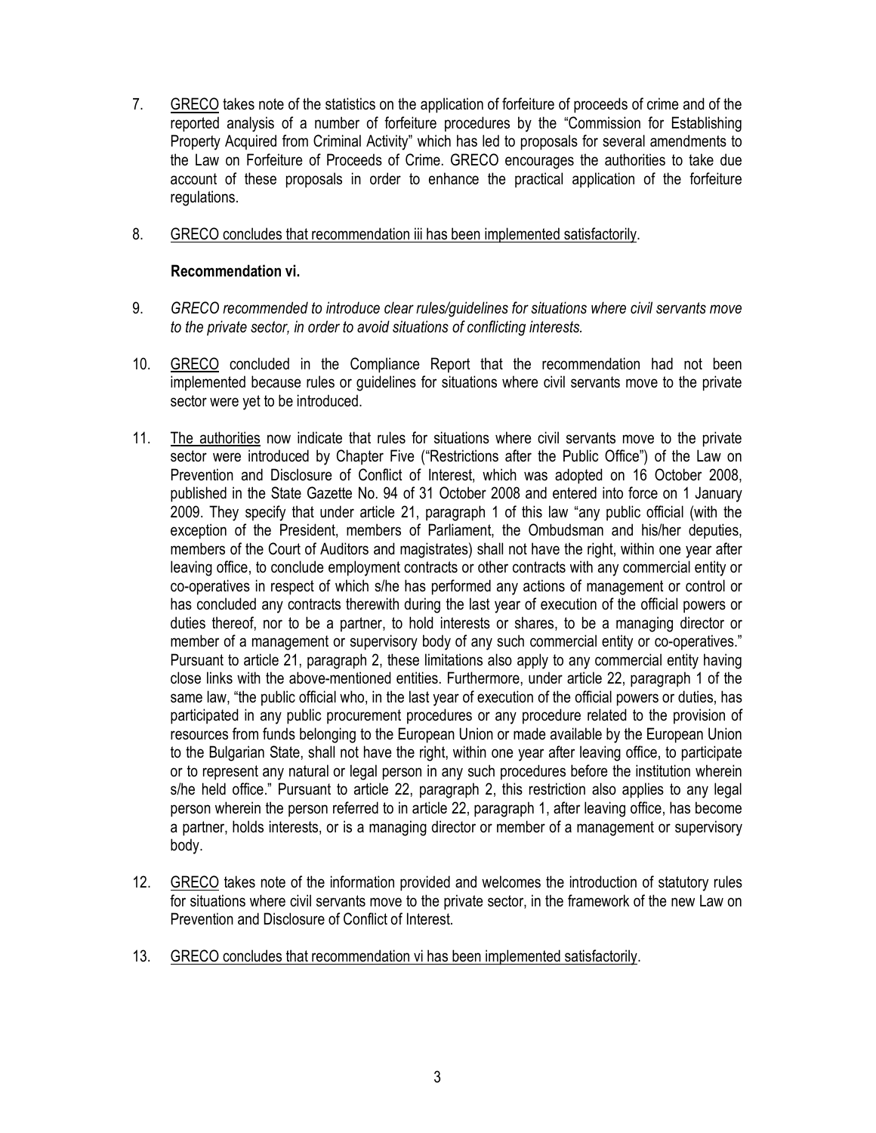- 7. GRECO takes note of the statistics on the application of forfeiture of proceeds of crime and of the reported analysis of a number of forfeiture procedures by the "Commission for Establishing Property Acquired from Criminal Activity" which has led to proposals for several amendments to the Law on Forfeiture of Proceeds of Crime. GRECO encourages the authorities to take due account of these proposals in order to enhance the practical application of the forfeiture regulations.
- 8. GRECO concludes that recommendation iii has been implemented satisfactorily.

#### Recommendation vi.

- 9. GRECO recommended to introduce clear rules/guidelines for situations where civil servants move to the private sector, in order to avoid situations of conflicting interests.
- 10. GRECO concluded in the Compliance Report that the recommendation had not been implemented because rules or guidelines for situations where civil servants move to the private sector were yet to be introduced.
- 11. The authorities now indicate that rules for situations where civil servants move to the private sector were introduced by Chapter Five ("Restrictions after the Public Office") of the Law on Prevention and Disclosure of Conflict of Interest, which was adopted on 16 October 2008, published in the State Gazette No. 94 of 31 October 2008 and entered into force on 1 January 2009. They specify that under article 21, paragraph 1 of this law "any public official (with the exception of the President, members of Parliament, the Ombudsman and his/her deputies, members of the Court of Auditors and magistrates) shall not have the right, within one year after leaving office, to conclude employment contracts or other contracts with any commercial entity or co-operatives in respect of which s/he has performed any actions of management or control or has concluded any contracts therewith during the last year of execution of the official powers or duties thereof, nor to be a partner, to hold interests or shares, to be a managing director or member of a management or supervisory body of any such commercial entity or co-operatives." Pursuant to article 21, paragraph 2, these limitations also apply to any commercial entity having close links with the above-mentioned entities. Furthermore, under article 22, paragraph 1 of the same law, "the public official who, in the last year of execution of the official powers or duties, has participated in any public procurement procedures or any procedure related to the provision of resources from funds belonging to the European Union or made available by the European Union to the Bulgarian State, shall not have the right, within one year after leaving office, to participate or to represent any natural or legal person in any such procedures before the institution wherein s/he held office." Pursuant to article 22, paragraph 2, this restriction also applies to any legal person wherein the person referred to in article 22, paragraph 1, after leaving office, has become a partner, holds interests, or is a managing director or member of a management or supervisory body.
- 12. GRECO takes note of the information provided and welcomes the introduction of statutory rules for situations where civil servants move to the private sector, in the framework of the new Law on Prevention and Disclosure of Conflict of Interest.
- 13. GRECO concludes that recommendation vi has been implemented satisfactorily.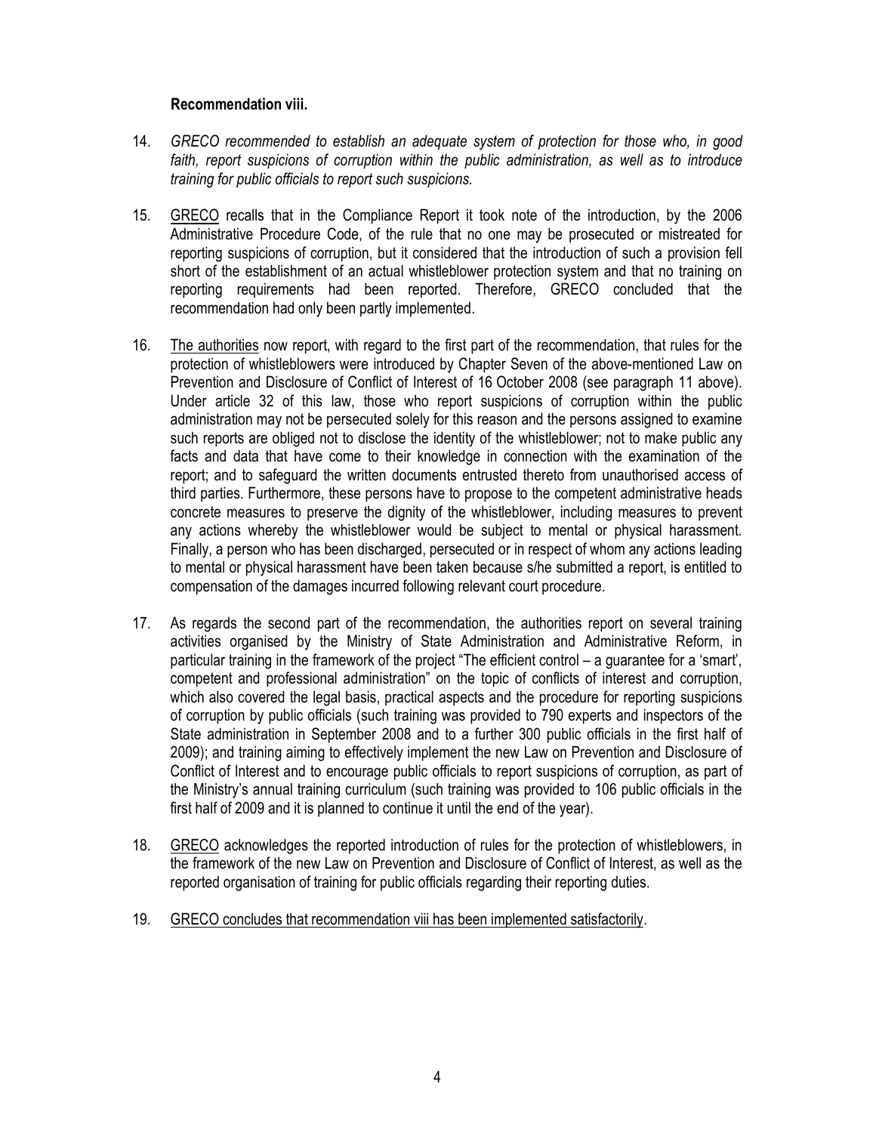#### Recommendation viii.

- 14. GRECO recommended to establish an adequate system of protection for those who, in good faith, report suspicions of corruption within the public administration, as well as to introduce training for public officials to report such suspicions.
- 15. GRECO recalls that in the Compliance Report it took note of the introduction, by the 2006 Administrative Procedure Code, of the rule that no one may be prosecuted or mistreated for reporting suspicions of corruption, but it considered that the introduction of such a provision fell short of the establishment of an actual whistleblower protection system and that no training on reporting requirements had been reported. Therefore, GRECO concluded that the recommendation had only been partly implemented.
- 16. The authorities now report, with regard to the first part of the recommendation, that rules for the protection of whistleblowers were introduced by Chapter Seven of the above-mentioned Law on Prevention and Disclosure of Conflict of Interest of 16 October 2008 (see paragraph 11 above). Under article 32 of this law, those who report suspicions of corruption within the public administration may not be persecuted solely for this reason and the persons assigned to examine such reports are obliged not to disclose the identity of the whistleblower; not to make public any facts and data that have come to their knowledge in connection with the examination of the report; and to safeguard the written documents entrusted thereto from unauthorised access of third parties. Furthermore, these persons have to propose to the competent administrative heads concrete measures to preserve the dignity of the whistleblower, including measures to prevent any actions whereby the whistleblower would be subject to mental or physical harassment. Finally, a person who has been discharged, persecuted or in respect of whom any actions leading to mental or physical harassment have been taken because s/he submitted a report, is entitled to compensation of the damages incurred following relevant court procedure.
- 17. As regards the second part of the recommendation, the authorities report on several training activities organised by the Ministry of State Administration and Administrative Reform, in particular training in the framework of the project "The efficient control – a guarantee for a 'smart', competent and professional administration" on the topic of conflicts of interest and corruption, which also covered the legal basis, practical aspects and the procedure for reporting suspicions of corruption by public officials (such training was provided to 790 experts and inspectors of the State administration in September 2008 and to a further 300 public officials in the first half of 2009); and training aiming to effectively implement the new Law on Prevention and Disclosure of Conflict of Interest and to encourage public officials to report suspicions of corruption, as part of the Ministry's annual training curriculum (such training was provided to 106 public officials in the first half of 2009 and it is planned to continue it until the end of the year).
- 18. GRECO acknowledges the reported introduction of rules for the protection of whistleblowers, in the framework of the new Law on Prevention and Disclosure of Conflict of Interest, as well as the reported organisation of training for public officials regarding their reporting duties.
- 19. GRECO concludes that recommendation viii has been implemented satisfactorily.